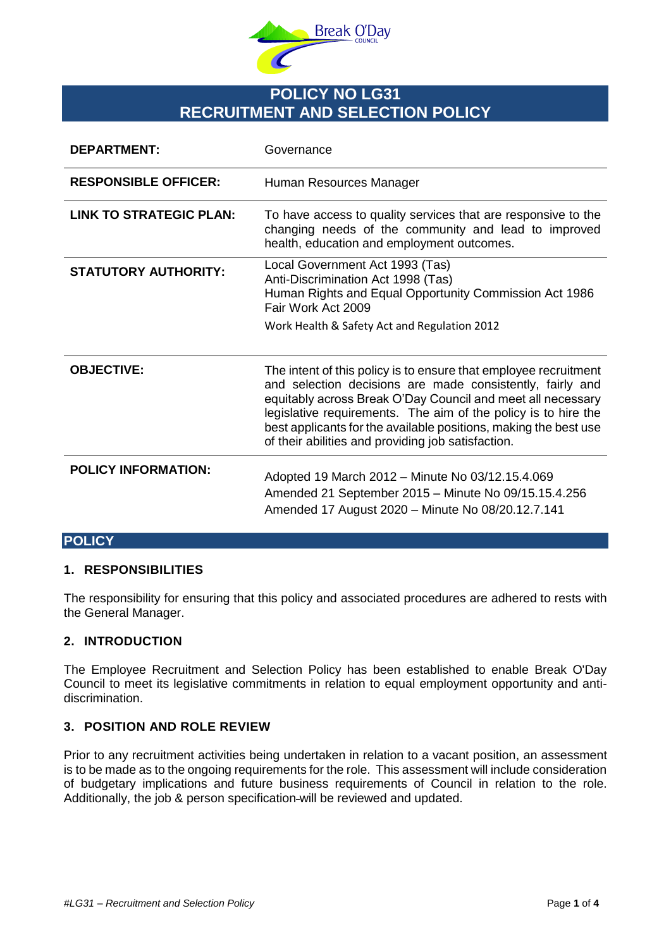

# **POLICY NO LG31 RECRUITMENT AND SELECTION POLICY**

| <b>DEPARTMENT:</b>             | Governance                                                                                                                                                                                                                                                                                                                                                                               |
|--------------------------------|------------------------------------------------------------------------------------------------------------------------------------------------------------------------------------------------------------------------------------------------------------------------------------------------------------------------------------------------------------------------------------------|
| <b>RESPONSIBLE OFFICER:</b>    | Human Resources Manager                                                                                                                                                                                                                                                                                                                                                                  |
| <b>LINK TO STRATEGIC PLAN:</b> | To have access to quality services that are responsive to the<br>changing needs of the community and lead to improved<br>health, education and employment outcomes.                                                                                                                                                                                                                      |
| <b>STATUTORY AUTHORITY:</b>    | Local Government Act 1993 (Tas)<br>Anti-Discrimination Act 1998 (Tas)<br>Human Rights and Equal Opportunity Commission Act 1986<br>Fair Work Act 2009<br>Work Health & Safety Act and Regulation 2012                                                                                                                                                                                    |
| <b>OBJECTIVE:</b>              | The intent of this policy is to ensure that employee recruitment<br>and selection decisions are made consistently, fairly and<br>equitably across Break O'Day Council and meet all necessary<br>legislative requirements. The aim of the policy is to hire the<br>best applicants for the available positions, making the best use<br>of their abilities and providing job satisfaction. |
| <b>POLICY INFORMATION:</b>     | Adopted 19 March 2012 – Minute No 03/12.15.4.069<br>Amended 21 September 2015 - Minute No 09/15.15.4.256<br>Amended 17 August 2020 - Minute No 08/20.12.7.141                                                                                                                                                                                                                            |

## **POLICY**

## **1. RESPONSIBILITIES**

The responsibility for ensuring that this policy and associated procedures are adhered to rests with the General Manager.

#### **2. INTRODUCTION**

The Employee Recruitment and Selection Policy has been established to enable Break O'Day Council to meet its legislative commitments in relation to equal employment opportunity and antidiscrimination.

## **3. POSITION AND ROLE REVIEW**

Prior to any recruitment activities being undertaken in relation to a vacant position, an assessment is to be made as to the ongoing requirements for the role. This assessment will include consideration of budgetary implications and future business requirements of Council in relation to the role. Additionally, the job & person specification will be reviewed and updated.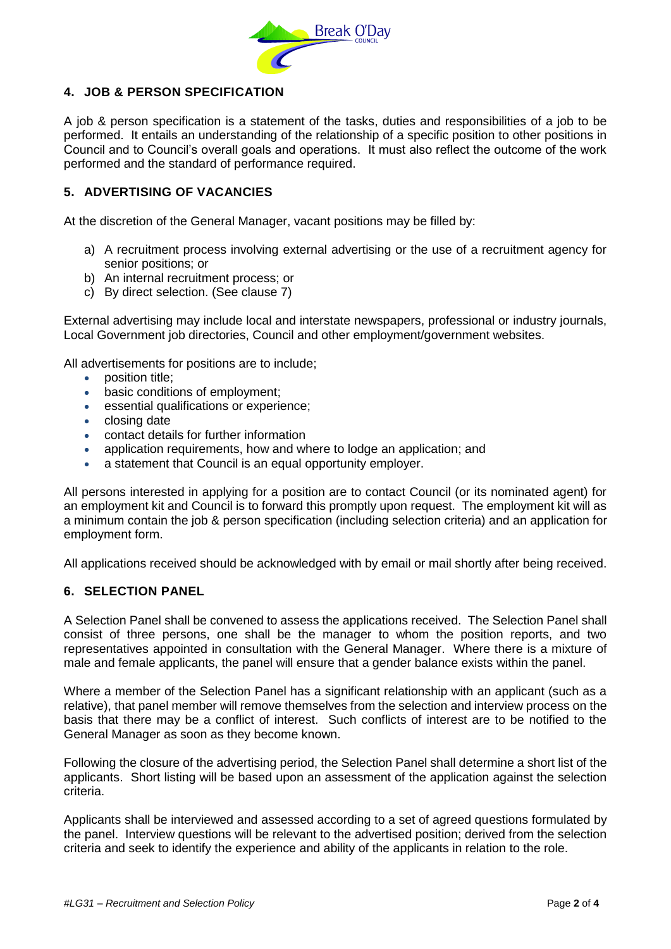

## **4. JOB & PERSON SPECIFICATION**

A job & person specification is a statement of the tasks, duties and responsibilities of a job to be performed. It entails an understanding of the relationship of a specific position to other positions in Council and to Council's overall goals and operations. It must also reflect the outcome of the work performed and the standard of performance required.

## **5. ADVERTISING OF VACANCIES**

At the discretion of the General Manager, vacant positions may be filled by:

- a) A recruitment process involving external advertising or the use of a recruitment agency for senior positions; or
- b) An internal recruitment process; or
- c) By direct selection. (See clause 7)

External advertising may include local and interstate newspapers, professional or industry journals, Local Government job directories, Council and other employment/government websites.

All advertisements for positions are to include;

- position title:
- **•** basic conditions of employment:
- essential qualifications or experience;
- closing date
- contact details for further information
- application requirements, how and where to lodge an application; and
- a statement that Council is an equal opportunity employer.

All persons interested in applying for a position are to contact Council (or its nominated agent) for an employment kit and Council is to forward this promptly upon request. The employment kit will as a minimum contain the job & person specification (including selection criteria) and an application for employment form.

All applications received should be acknowledged with by email or mail shortly after being received.

#### **6. SELECTION PANEL**

A Selection Panel shall be convened to assess the applications received. The Selection Panel shall consist of three persons, one shall be the manager to whom the position reports, and two representatives appointed in consultation with the General Manager. Where there is a mixture of male and female applicants, the panel will ensure that a gender balance exists within the panel.

Where a member of the Selection Panel has a significant relationship with an applicant (such as a relative), that panel member will remove themselves from the selection and interview process on the basis that there may be a conflict of interest. Such conflicts of interest are to be notified to the General Manager as soon as they become known.

Following the closure of the advertising period, the Selection Panel shall determine a short list of the applicants. Short listing will be based upon an assessment of the application against the selection criteria.

Applicants shall be interviewed and assessed according to a set of agreed questions formulated by the panel. Interview questions will be relevant to the advertised position; derived from the selection criteria and seek to identify the experience and ability of the applicants in relation to the role.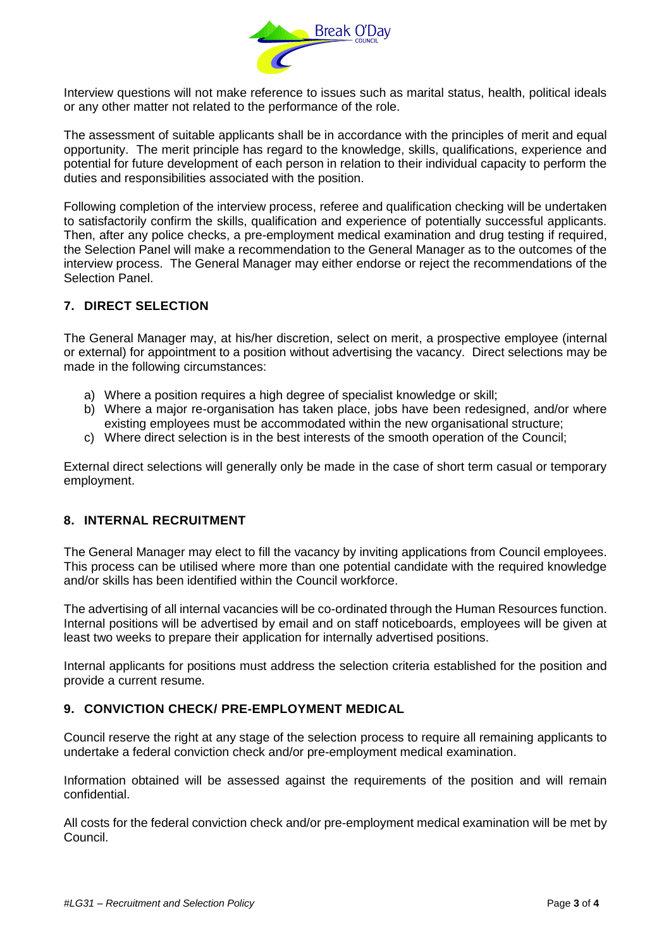

Interview questions will not make reference to issues such as marital status, health, political ideals or any other matter not related to the performance of the role.

The assessment of suitable applicants shall be in accordance with the principles of merit and equal opportunity. The merit principle has regard to the knowledge, skills, qualifications, experience and potential for future development of each person in relation to their individual capacity to perform the duties and responsibilities associated with the position.

Following completion of the interview process, referee and qualification checking will be undertaken to satisfactorily confirm the skills, qualification and experience of potentially successful applicants. Then, after any police checks, a pre-employment medical examination and drug testing if required, the Selection Panel will make a recommendation to the General Manager as to the outcomes of the interview process. The General Manager may either endorse or reject the recommendations of the Selection Panel.

## **7. DIRECT SELECTION**

The General Manager may, at his/her discretion, select on merit, a prospective employee (internal or external) for appointment to a position without advertising the vacancy. Direct selections may be made in the following circumstances:

- a) Where a position requires a high degree of specialist knowledge or skill;
- b) Where a major re-organisation has taken place, jobs have been redesigned, and/or where existing employees must be accommodated within the new organisational structure;
- c) Where direct selection is in the best interests of the smooth operation of the Council;

External direct selections will generally only be made in the case of short term casual or temporary employment.

## **8. INTERNAL RECRUITMENT**

The General Manager may elect to fill the vacancy by inviting applications from Council employees. This process can be utilised where more than one potential candidate with the required knowledge and/or skills has been identified within the Council workforce.

The advertising of all internal vacancies will be co-ordinated through the Human Resources function. Internal positions will be advertised by email and on staff noticeboards, employees will be given at least two weeks to prepare their application for internally advertised positions.

Internal applicants for positions must address the selection criteria established for the position and provide a current resume.

## **9. CONVICTION CHECK/ PRE-EMPLOYMENT MEDICAL**

Council reserve the right at any stage of the selection process to require all remaining applicants to undertake a federal conviction check and/or pre-employment medical examination.

Information obtained will be assessed against the requirements of the position and will remain confidential.

All costs for the federal conviction check and/or pre-employment medical examination will be met by Council.